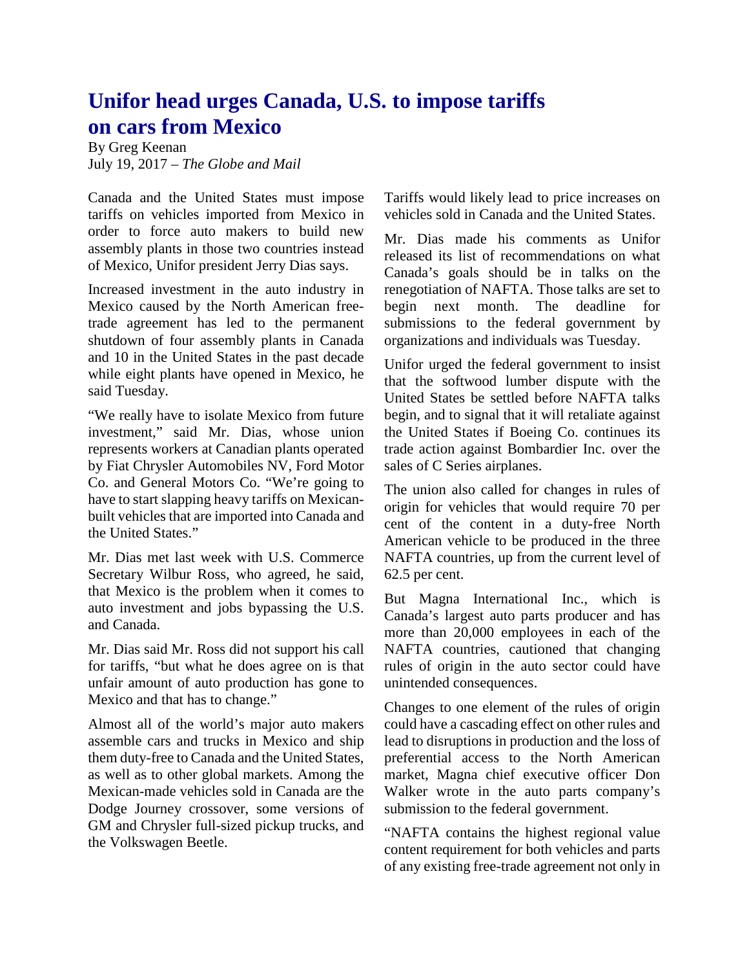## **Unifor head urges Canada, U.S. to impose tariffs on cars from Mexico**

By Greg Keenan July 19, 2017 – *The Globe and Mail*

Canada and the United States must impose tariffs on vehicles imported from Mexico in order to force auto makers to build new assembly plants in those two countries instead of Mexico, Unifor president Jerry Dias says.

Increased investment in the auto industry in Mexico caused by the North American freetrade agreement has led to the permanent shutdown of four assembly plants in Canada and 10 in the United States in the past decade while eight plants have opened in Mexico, he said Tuesday.

"We really have to isolate Mexico from future investment," said Mr. Dias, whose union represents workers at Canadian plants operated by Fiat Chrysler Automobiles NV, Ford Motor Co. and General Motors Co. "We're going to have to start slapping heavy tariffs on Mexicanbuilt vehicles that are imported into Canada and the United States."

Mr. Dias met last week with U.S. Commerce Secretary Wilbur Ross, who agreed, he said, that Mexico is the problem when it comes to auto investment and jobs bypassing the U.S. and Canada.

Mr. Dias said Mr. Ross did not support his call for tariffs, "but what he does agree on is that unfair amount of auto production has gone to Mexico and that has to change."

Almost all of the world's major auto makers assemble cars and trucks in Mexico and ship them duty-free to Canada and the United States, as well as to other global markets. Among the Mexican-made vehicles sold in Canada are the Dodge Journey crossover, some versions of GM and Chrysler full-sized pickup trucks, and the Volkswagen Beetle.

Tariffs would likely lead to price increases on vehicles sold in Canada and the United States.

Mr. Dias made his comments as Unifor released its list of recommendations on what Canada's goals should be in talks on the renegotiation of NAFTA. Those talks are set to begin next month. The deadline for submissions to the federal government by organizations and individuals was Tuesday.

Unifor urged the federal government to insist that the softwood lumber dispute with the United States be settled before NAFTA talks begin, and to signal that it will retaliate against the United States if Boeing Co. continues its trade action against Bombardier Inc. over the sales of C Series airplanes.

The union also called for changes in rules of origin for vehicles that would require 70 per cent of the content in a duty-free North American vehicle to be produced in the three NAFTA countries, up from the current level of 62.5 per cent.

But Magna International Inc., which is Canada's largest auto parts producer and has more than 20,000 employees in each of the NAFTA countries, cautioned that changing rules of origin in the auto sector could have unintended consequences.

Changes to one element of the rules of origin could have a cascading effect on other rules and lead to disruptions in production and the loss of preferential access to the North American market, Magna chief executive officer Don Walker wrote in the auto parts company's submission to the federal government.

"NAFTA contains the highest regional value content requirement for both vehicles and parts of any existing free-trade agreement not only in